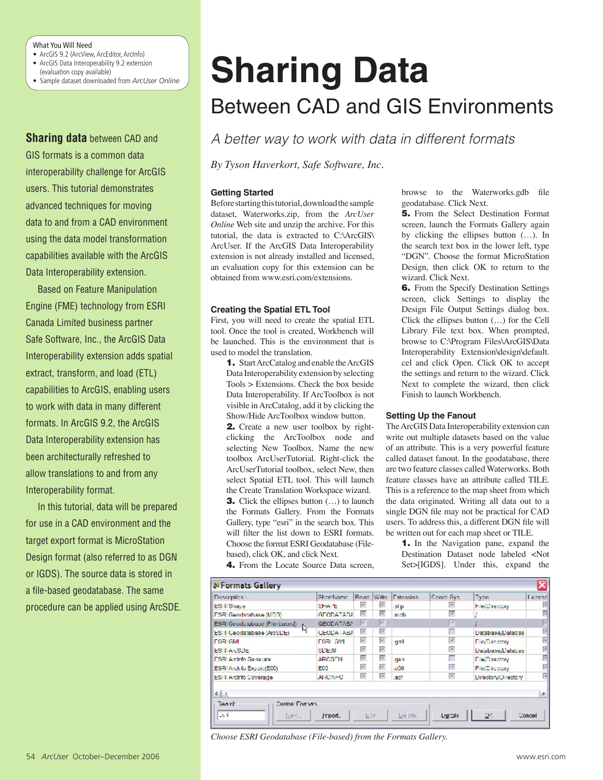# What You Will Need

- ArcGIS 9.2 (ArcView, ArcEditor, ArcInfo)
- ArcGIS Data Interoperability 9.2 extension
- (evaluation copy available)
- Sample dataset downloaded from *ArcUser Online*

**Sharing data** between CAD and GIS formats is a common data interoperability challenge for ArcGIS users. This tutorial demonstrates advanced techniques for moving data to and from a CAD environment using the data model transformation capabilities available with the ArcGIS Data Interoperability extension.

Based on Feature Manipulation Engine (FME) technology from ESRI Canada Limited business partner Safe Software, Inc., the ArcGIS Data Interoperability extension adds spatial extract, transform, and load (ETL) capabilities to ArcGIS, enabling users to work with data in many different formats. In ArcGIS 9.2, the ArcGIS Data Interoperability extension has been architecturally refreshed to allow translations to and from any Interoperability format.

In this tutorial, data will be prepared for use in a CAD environment and the target export format is MicroStation Design format (also referred to as DGN or IGDS). The source data is stored in a file-based geodatabase. The same procedure can be applied using ArcSDE.

# Between CAD and GIS Environments **Sharing Data**

*A better way to work with data in different formats*

*By Tyson Haverkort, Safe Software, Inc.*

# **Getting Started**

Before starting this tutorial, download the sample dataset, Waterworks.zip, from the *ArcUser Online* Web site and unzip the archive. For this tutorial, the data is extracted to C:\ArcGIS\ ArcUser. If the ArcGIS Data Interoperability extension is not already installed and licensed, an evaluation copy for this extension can be obtained from www.esri.com/extensions.

# **Creating the Spatial ETL Tool**

First, you will need to create the spatial ETL tool. Once the tool is created, Workbench will be launched. This is the environment that is used to model the translation.

1. Start ArcCatalog and enable the ArcGIS Data Interoperability extension by selecting Tools > Extensions. Check the box beside Data Interoperability. If ArcToolbox is not visible in ArcCatalog, add it by clicking the Show/Hide ArcToolbox window button.

2. Create a new user toolbox by rightclicking the ArcToolbox node and selecting New Toolbox. Name the new toolbox ArcUserTutorial. Right-click the ArcUserTutorial toolbox, select New, then select Spatial ETL tool. This will launch the Create Translation Workspace wizard. **3.** Click the ellipses button (...) to launch the Formats Gallery. From the Formats

Gallery, type "esri" in the search box. This will filter the list down to ESRI formats. Choose the format ESRI Geodatabase (Filebased), click OK, and click Next.

4. From the Locate Source Data screen,

browse to the Waterworks.gdb file geodatabase. Click Next.

**5.** From the Select Destination Format screen, launch the Formats Gallery again by clicking the ellipses button (…). In the search text box in the lower left, type "DGN". Choose the format MicroStation Design, then click OK to return to the wizard. Click Next.

**6.** From the Specify Destination Settings screen, click Settings to display the Design File Output Settings dialog box. Click the ellipses button (…) for the Cell Library File text box. When prompted, browse to C:\Program Files\ArcGIS\Data Interoperability Extension\design\default. cel and click Open. Click OK to accept the settings and return to the wizard. Click Next to complete the wizard, then click Finish to launch Workbench.

# **Setting Up the Fanout**

The ArcGIS Data Interoperability extension can write out multiple datasets based on the value of an attribute. This is a very powerful feature called dataset fanout. In the geodatabase, there are two feature classes called Waterworks. Both feature classes have an attribute called TILE. This is a reference to the map sheet from which the data originated. Writing all data out to a single DGN file may not be practical for CAD users. To address this, a different DGN file will be written out for each map sheet or TILE.

**1.** In the Navigation pane, expand the Destination Dataset node labeled <Not Set>[IGDS]. Under this, expand the

| ⊠<br><b>de Formats Gallery</b>                                                   |                   |                         |                         |           |            |                         |         |
|----------------------------------------------------------------------------------|-------------------|-------------------------|-------------------------|-----------|------------|-------------------------|---------|
| Description -                                                                    | <b>Chort Name</b> | Read Write              |                         | Extension | Guord Cys. | Type                    | License |
| <b>ESI 8 Shape</b>                                                               | SHAPE.            | W.                      | W.                      | .shp.     | ×          | <b>File/Directory</b>   |         |
| FSRI Geodatabase (MDD)                                                           | GEODATARA         | $\overline{\mathbf{v}}$ | $\overline{\mathbf{v}}$ | meh       | ⊽          |                         |         |
| ESRI Geodulabase (File-based)<br>ESRI Geodulabase (File-based)<br>Estatunidensis | <b>GEODATABA</b>  | M                       | ज़ि                     |           | <b>A</b>   |                         | м       |
| ESRI Ceodatabase (ArcSDE)                                                        | <b>GEODATABA</b>  | A.                      | A,                      |           |            | Database/Databas        | 囨       |
| <b>IFSRICMI</b>                                                                  | <b>FSRIGMI</b>    | ₹                       | V                       | ant       | ₽          | <b>File/Directory</b>   | G       |
| ESITAreSDE                                                                       | SDE30             | v.                      | A,                      |           | ⋷          | <b>Dalabase/Dalabas</b> | ☞       |
| I SRI Andrio Generate                                                            | <b>ARCGEN</b>     | $\overline{\mathbf{v}}$ | $\overline{\mathbf{v}}$ | gan       |            | <b>Filed Virectory</b>  | 岗       |
| ESRI Archifo Export (E00)                                                        | EDO               | Ψ                       | ₽                       | .000      | ₽          | <b>File/Directory</b>   | ₫       |
| <b>ESRI Arcinfo Coverage</b>                                                     | <b>ARCINEO</b>    | A,                      | A,                      | .ach      | ₽          | Directory/Directory     | 岗       |
| $4 + 1$                                                                          |                   |                         |                         |           |            |                         | ,       |
| <b>Beart</b> :<br><b>Custon: Formers</b>                                         |                   |                         |                         |           |            |                         |         |
| lesti<br>2884.                                                                   | Irport.           | Epit                    |                         | Lie ste.  | Ligitals:  | 24                      | Concel  |

*Choose ESRI Geodatabase (File-based) from the Formats Gallery.*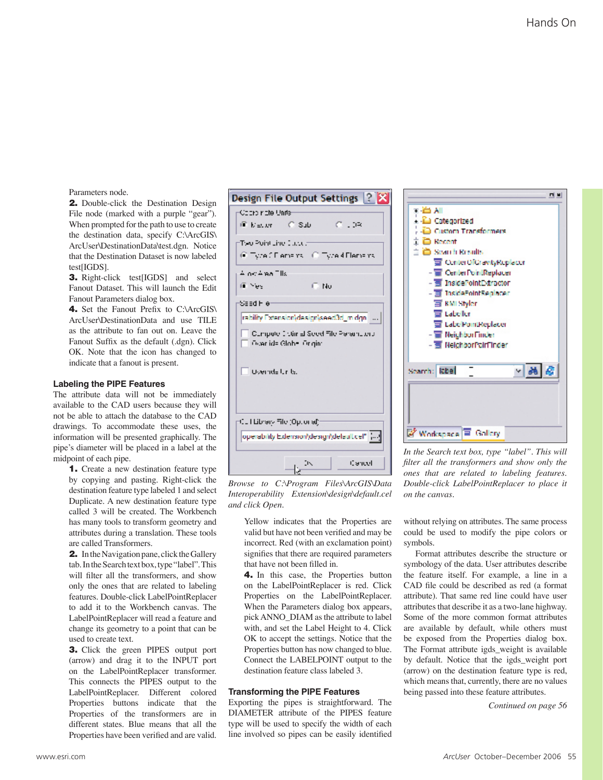Parameters node.

**2.** Double-click the Destination Design File node (marked with a purple "gear"). When prompted for the path to use to create the destination data, specify C:\ArcGIS\ ArcUser\DestinationData\test.dgn. Notice that the Destination Dataset is now labeled test[IGDS].

**3.** Right-click test[IGDS] and select Fanout Dataset. This will launch the Edit Fanout Parameters dialog box.

4. Set the Fanout Prefix to C:\ArcGIS\ ArcUser\DestinationData and use TILE as the attribute to fan out on. Leave the Fanout Suffix as the default (.dgn). Click OK. Note that the icon has changed to indicate that a fanout is present.

#### **Labeling the PIPE Features**

The attribute data will not be immediately available to the CAD users because they will not be able to attach the database to the CAD drawings. To accommodate these uses, the information will be presented graphically. The pipe's diameter will be placed in a label at the midpoint of each pipe.

1. Create a new destination feature type by copying and pasting. Right-click the destination feature type labeled 1 and select Duplicate. A new destination feature type called 3 will be created. The Workbench has many tools to transform geometry and attributes during a translation. These tools are called Transformers.

**2.** In the Navigation pane, click the Gallery tab. In the Search text box, type "label". This will filter all the transformers, and show only the ones that are related to labeling features. Double-click LabelPointReplacer to add it to the Workbench canvas. The LabelPointReplacer will read a feature and change its geometry to a point that can be used to create text.

3. Click the green PIPES output port (arrow) and drag it to the INPUT port on the LabelPointReplacer transformer. This connects the PIPES output to the LabelPointReplacer. Different colored Properties buttons indicate that the Properties of the transformers are in different states. Blue means that all the Properties have been verified and are valid.



*Browse to C:\Program Files\ArcGIS\Data Interoperability Extension\design\default.cel and click Open.*

Yellow indicates that the Properties are valid but have not been verified and may be incorrect. Red (with an exclamation point) signifies that there are required parameters that have not been filled in.

4. In this case, the Properties button on the LabelPointReplacer is red. Click Properties on the LabelPointReplacer. When the Parameters dialog box appears, pick ANNO\_DIAM as the attribute to label with, and set the Label Height to 4. Click OK to accept the settings. Notice that the Properties button has now changed to blue. Connect the LABELPOINT output to the destination feature class labeled 3.

#### **Transforming the PIPE Features**

Exporting the pipes is straightforward. The DIAMETER attribute of the PIPES feature type will be used to specify the width of each line involved so pipes can be easily identified



*In the Search text box, type "label". This will filter all the transformers and show only the ones that are related to labeling features. Double-click LabelPointReplacer to place it on the canvas.*

without relying on attributes. The same process could be used to modify the pipe colors or symbols.

Format attributes describe the structure or symbology of the data. User attributes describe the feature itself. For example, a line in a CAD file could be described as red (a format attribute). That same red line could have user attributes that describe it as a two-lane highway. Some of the more common format attributes are available by default, while others must be exposed from the Properties dialog box. The Format attribute igds\_weight is available by default. Notice that the igds\_weight port (arrow) on the destination feature type is red, which means that, currently, there are no values being passed into these feature attributes.

*Continued on page 56*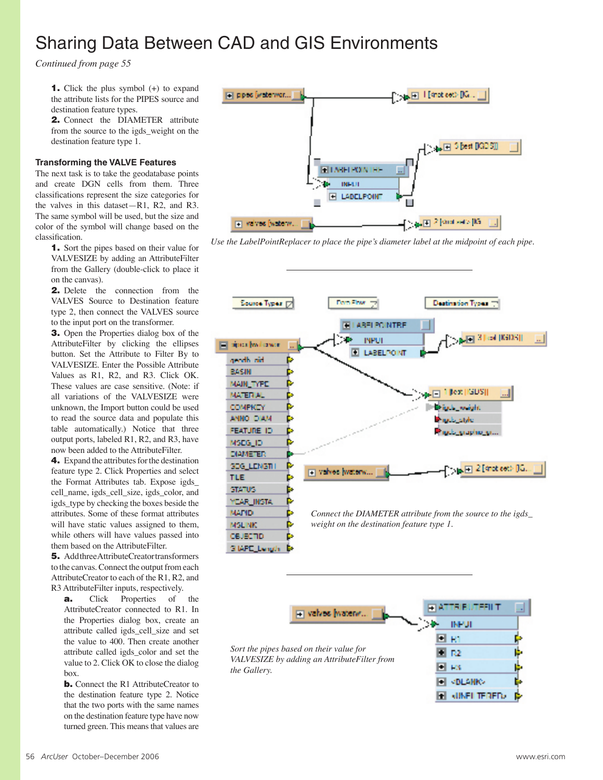# Sharing Data Between CAD and GIS Environments

*Continued from page 55*

**1.** Click the plus symbol  $(+)$  to expand the attribute lists for the PIPES source and destination feature types.

2. Connect the DIAMETER attribute from the source to the igds\_weight on the destination feature type 1.

# **Transforming the VALVE Features**

The next task is to take the geodatabase points and create DGN cells from them. Three classifications represent the size categories for the valves in this dataset—R1, R2, and R3. The same symbol will be used, but the size and color of the symbol will change based on the classification.

1. Sort the pipes based on their value for VALVESIZE by adding an AttributeFilter from the Gallery (double-click to place it on the canvas).

2. Delete the connection from the VALVES Source to Destination feature type 2, then connect the VALVES source to the input port on the transformer.

3. Open the Properties dialog box of the AttributeFilter by clicking the ellipses button. Set the Attribute to Filter By to VALVESIZE. Enter the Possible Attribute Values as R1, R2, and R3. Click OK. These values are case sensitive. (Note: if all variations of the VALVESIZE were unknown, the Import button could be used to read the source data and populate this table automatically.) Notice that three output ports, labeled R1, R2, and R3, have now been added to the AttributeFilter.

4. Expand the attributes for the destination feature type 2. Click Properties and select the Format Attributes tab. Expose igds\_ cell\_name, igds\_cell\_size, igds\_color, and igds\_type by checking the boxes beside the attributes. Some of these format attributes will have static values assigned to them, while others will have values passed into them based on the AttributeFilter.

5. Add three AttributeCreator transformers to the canvas. Connect the output from each AttributeCreator to each of the R1, R2, and R3 AttributeFilter inputs, respectively.

**a.** Click Properties of the AttributeCreator connected to R1. In the Properties dialog box, create an attribute called igds\_cell\_size and set the value to 400. Then create another attribute called igds\_color and set the value to 2. Click OK to close the dialog box.

**b.** Connect the R1 AttributeCreator to the destination feature type 2. Notice that the two ports with the same names on the destination feature type have now turned green. This means that values are



*Use the LabelPointReplacer to place the pipe's diameter label at the midpoint of each pipe.*